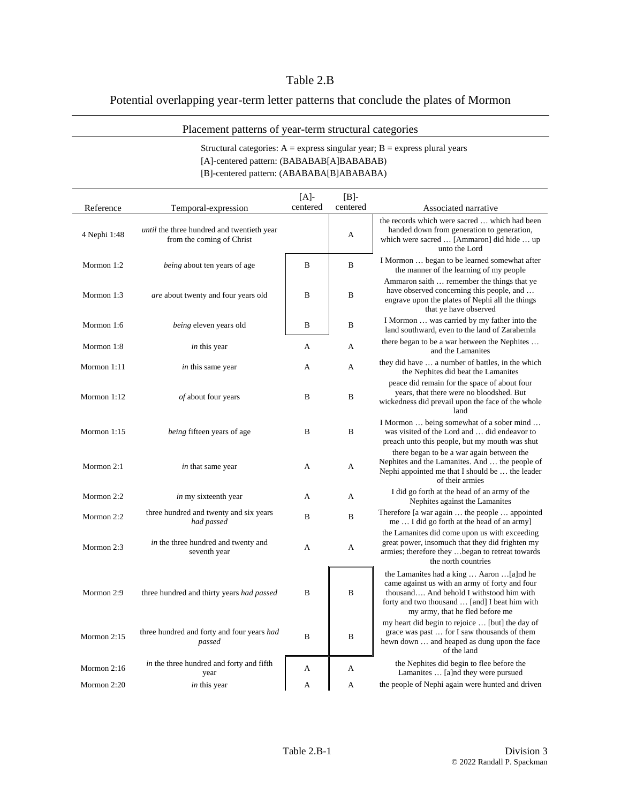## Table 2.B

## Potential overlapping year-term letter patterns that conclude the plates of Mormon

## Placement patterns of year-term structural categories

## Structural categories:  $A =$  express singular year;  $B =$  express plural years [A]-centered pattern: (BABABAB[A]BABABAB) [B]-centered pattern: (ABABABA[B]ABABABA)

|               |                                                                                | $[A]$ -  | $[B]$ -  |                                                                                                                                                                                                                            |
|---------------|--------------------------------------------------------------------------------|----------|----------|----------------------------------------------------------------------------------------------------------------------------------------------------------------------------------------------------------------------------|
| Reference     | Temporal-expression                                                            | centered | centered | Associated narrative                                                                                                                                                                                                       |
| 4 Nephi 1:48  | <i>until</i> the three hundred and twentieth year<br>from the coming of Christ |          | А        | the records which were sacred  which had been<br>handed down from generation to generation,<br>which were sacred  [Ammaron] did hide  up<br>unto the Lord                                                                  |
| Mormon 1:2    | <i>being</i> about ten years of age                                            | B        | B        | I Mormon  began to be learned somewhat after<br>the manner of the learning of my people                                                                                                                                    |
| Mormon $1:3$  | <i>are</i> about twenty and four years old                                     | В        | B        | Ammaron saith  remember the things that ye<br>have observed concerning this people, and<br>engrave upon the plates of Nephi all the things<br>that ye have observed                                                        |
| Mormon 1:6    | being eleven years old                                                         | B        | B        | I Mormon  was carried by my father into the<br>land southward, even to the land of Zarahemla                                                                                                                               |
| Mormon 1:8    | in this year                                                                   | A        | A        | there began to be a war between the Nephites<br>and the Lamanites                                                                                                                                                          |
| Mormon 1:11   | in this same year                                                              | А        | А        | they did have  a number of battles, in the which<br>the Nephites did beat the Lamanites                                                                                                                                    |
| Mormon 1:12   | of about four years                                                            | B        | B        | peace did remain for the space of about four<br>years, that there were no bloodshed. But<br>wickedness did prevail upon the face of the whole<br>land                                                                      |
| Mormon $1:15$ | being fifteen years of age                                                     | B        | B        | I Mormon  being somewhat of a sober mind<br>was visited of the Lord and  did endeavor to<br>preach unto this people, but my mouth was shut                                                                                 |
| Mormon 2:1    | in that same year                                                              | A        | А        | there began to be a war again between the<br>Nephites and the Lamanites. And  the people of<br>Nephi appointed me that I should be  the leader<br>of their armies                                                          |
| Mormon 2:2    | <i>in</i> my sixteenth year                                                    | A        | A        | I did go forth at the head of an army of the<br>Nephites against the Lamanites                                                                                                                                             |
| Mormon 2:2    | three hundred and twenty and six years<br>had passed                           | B        | B        | Therefore [a war again  the people  appointed<br>me I did go forth at the head of an army                                                                                                                                  |
| Mormon 2:3    | in the three hundred and twenty and<br>seventh year                            | A        | A        | the Lamanites did come upon us with exceeding<br>great power, insomuch that they did frighten my<br>armies; therefore they  began to retreat towards<br>the north countries                                                |
| Mormon 2:9    | three hundred and thirty years had passed                                      | B        | B        | the Lamanites had a king  Aaron [a]nd he<br>came against us with an army of forty and four<br>thousand And behold I withstood him with<br>forty and two thousand  [and] I beat him with<br>my army, that he fled before me |
| Mormon 2:15   | three hundred and forty and four years had<br>passed                           | B        | B        | my heart did begin to rejoice  [but] the day of<br>grace was past  for I saw thousands of them<br>hewn down  and heaped as dung upon the face<br>of the land                                                               |
| Mormon 2:16   | in the three hundred and forty and fifth<br>year                               | A        | А        | the Nephites did begin to flee before the<br>Lamanites  [a]nd they were pursued                                                                                                                                            |
| Mormon 2:20   | in this year                                                                   | A        | A        | the people of Nephi again were hunted and driven                                                                                                                                                                           |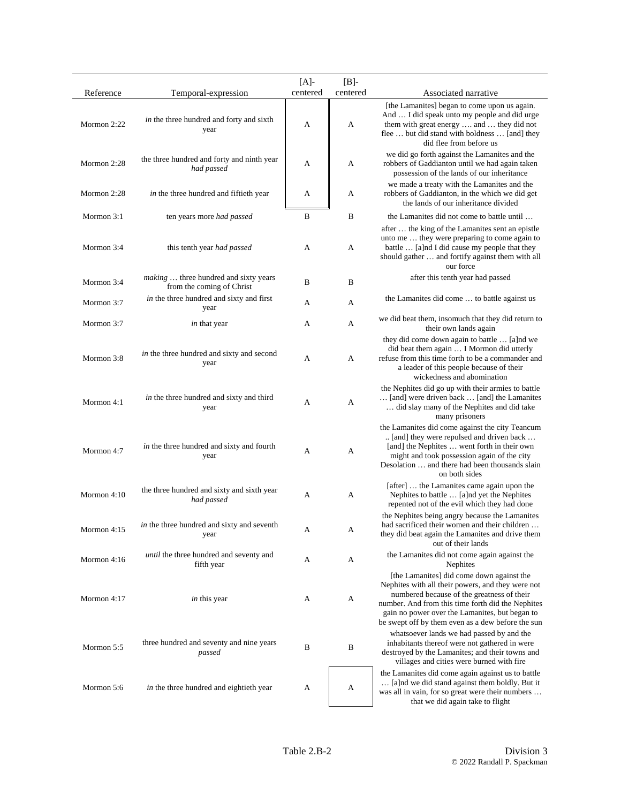|             |                                                                    | $[A]$ -  | $[B]$ -  |                                                                                                                                                                                                                                                                                                          |
|-------------|--------------------------------------------------------------------|----------|----------|----------------------------------------------------------------------------------------------------------------------------------------------------------------------------------------------------------------------------------------------------------------------------------------------------------|
| Reference   | Temporal-expression                                                | centered | centered | Associated narrative                                                                                                                                                                                                                                                                                     |
| Mormon 2:22 | in the three hundred and forty and sixth<br>year                   | А        | A        | [the Lamanites] began to come upon us again.<br>And  I did speak unto my people and did urge<br>them with great energy  and  they did not<br>flee  but did stand with boldness  [and] they<br>did flee from before us                                                                                    |
| Mormon 2:28 | the three hundred and forty and ninth year<br>had passed           | А        | A        | we did go forth against the Lamanites and the<br>robbers of Gaddianton until we had again taken<br>possession of the lands of our inheritance                                                                                                                                                            |
| Mormon 2:28 | in the three hundred and fiftieth year                             | А        | А        | we made a treaty with the Lamanites and the<br>robbers of Gaddianton, in the which we did get<br>the lands of our inheritance divided                                                                                                                                                                    |
| Mormon 3:1  | ten years more had passed                                          | B        | B        | the Lamanites did not come to battle until                                                                                                                                                                                                                                                               |
| Mormon 3:4  | this tenth year <i>had passed</i>                                  | А        | A        | after  the king of the Lamanites sent an epistle<br>unto me  they were preparing to come again to<br>battle  [a]nd I did cause my people that they<br>should gather  and fortify against them with all<br>our force                                                                                      |
| Mormon 3:4  | making  three hundred and sixty years<br>from the coming of Christ | B        | B        | after this tenth year had passed                                                                                                                                                                                                                                                                         |
| Mormon 3:7  | in the three hundred and sixty and first<br>year                   | А        | А        | the Lamanites did come  to battle against us                                                                                                                                                                                                                                                             |
| Mormon 3:7  | <i>in</i> that year                                                | A        | A        | we did beat them, insomuch that they did return to<br>their own lands again                                                                                                                                                                                                                              |
| Mormon 3:8  | in the three hundred and sixty and second<br>year                  | А        | A        | they did come down again to battle  [a]nd we<br>did beat them again  I Mormon did utterly<br>refuse from this time forth to be a commander and<br>a leader of this people because of their<br>wickedness and abomination                                                                                 |
| Mormon 4:1  | in the three hundred and sixty and third<br>year                   | А        | A        | the Nephites did go up with their armies to battle<br>[and] were driven back  [and] the Lamanites<br>did slay many of the Nephites and did take<br>many prisoners                                                                                                                                        |
| Mormon 4:7  | in the three hundred and sixty and fourth<br>year                  | А        | А        | the Lamanites did come against the city Teancum<br>[and] they were repulsed and driven back<br>[and] the Nephites  went forth in their own<br>might and took possession again of the city<br>Desolation  and there had been thousands slain<br>on both sides                                             |
| Mormon 4:10 | the three hundred and sixty and sixth year<br>had passed           | A        | А        | [after]  the Lamanites came again upon the<br>Nephites to battle  [a]nd yet the Nephites<br>repented not of the evil which they had done                                                                                                                                                                 |
| Mormon 4:15 | <i>in</i> the three hundred and sixty and seventh<br>year          | A        | A        | the Nephites being angry because the Lamanites<br>had sacrificed their women and their children<br>they did beat again the Lamanites and drive them<br>out of their lands                                                                                                                                |
| Mormon 4:16 | until the three hundred and seventy and<br>fifth year              | A        | A        | the Lamanites did not come again against the<br>Nephites                                                                                                                                                                                                                                                 |
| Mormon 4:17 | <i>in</i> this year                                                | А        | A        | [the Lamanites] did come down against the<br>Nephites with all their powers, and they were not<br>numbered because of the greatness of their<br>number. And from this time forth did the Nephites<br>gain no power over the Lamanites, but began to<br>be swept off by them even as a dew before the sun |
| Mormon 5:5  | three hundred and seventy and nine years<br>passed                 | B        | B        | whatsoever lands we had passed by and the<br>inhabitants thereof were not gathered in were<br>destroyed by the Lamanites; and their towns and<br>villages and cities were burned with fire                                                                                                               |
| Mormon 5:6  | in the three hundred and eightieth year                            | A        | А        | the Lamanites did come again against us to battle<br>[a]nd we did stand against them boldly. But it<br>was all in vain, for so great were their numbers<br>that we did again take to flight                                                                                                              |